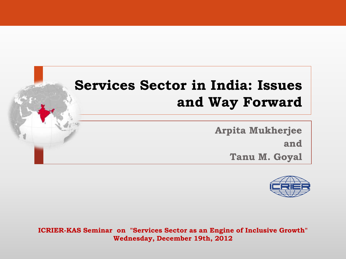#### **Services Sector in India: Issues and Way Forward**

**Arpita Mukherjee and Tanu M. Goyal**



**ICRIER-KAS Seminar on "Services Sector as an Engine of Inclusive Growth" Wednesday, December 19th, 2012**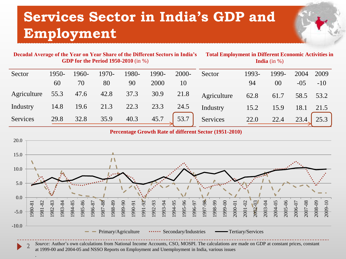#### **Services Sector in India's GDP and Employment**

| Decadal Average of the Year on Year Share of the Different Sectors in India's<br><b>GDP for the Period 1950-2010</b> (in %) |             |             |             |             |               | <b>Total Employment in Different Economic Activities in</b><br><b>India</b> (in $\%$ ) |             |             |             |               |               |
|-----------------------------------------------------------------------------------------------------------------------------|-------------|-------------|-------------|-------------|---------------|----------------------------------------------------------------------------------------|-------------|-------------|-------------|---------------|---------------|
| Sector                                                                                                                      | 1950-<br>60 | 1960-<br>70 | 1970-<br>80 | 1980-<br>90 | 1990-<br>2000 | 2000-<br>10                                                                            | Sector      | 1993-<br>94 | 1999-<br>00 | 2004<br>$-05$ | 2009<br>$-10$ |
| Agriculture                                                                                                                 | 55.3        | 47.6        | 42.8        | 37.3        | 30.9          | 21.8                                                                                   | Agriculture | 62.8        | 61.7        | 58.5          | 53.2          |
| Industry                                                                                                                    | 14.8        | 19.6        | 21.3        | 22.3        | 23.3          | 24.5                                                                                   | Industry    | 15.2        | 15.9        | 18.1          | 21.5          |
| Services                                                                                                                    | 29.8        | 32.8        | 35.9        | 40.3        | 45.7          | 53.7                                                                                   | Services    | 22.0        | 22.4        | 23.4          | 25.3          |

**Percentage Growth Rate of different Sector (1951-2010)**



*Source:* Author's own calculations from National Income Accounts, CSO, MOSPI. The calculations are made on GDP at constant prices, constant at 1999-00 and 2004-05 and NSSO Reports on Employment and Unemployment in India, various issues

.

2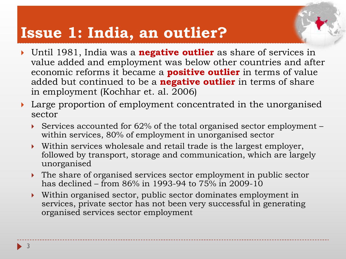#### **Issue 1: India, an outlier?**

- Until 1981, India was a **negative outlier** as share of services in value added and employment was below other countries and after economic reforms it became a **positive outlier** in terms of value added but continued to be a **negative outlier** in terms of share in employment (Kochhar et. al. 2006)
- Large proportion of employment concentrated in the unorganised sector
	- Services accounted for  $62\%$  of the total organised sector employment within services, 80% of employment in unorganised sector
	- Within services wholesale and retail trade is the largest employer, followed by transport, storage and communication, which are largely unorganised
	- The share of organised services sector employment in public sector has declined – from 86% in 1993-94 to 75% in 2009-10
	- Within organised sector, public sector dominates employment in services, private sector has not been very successful in generating organised services sector employment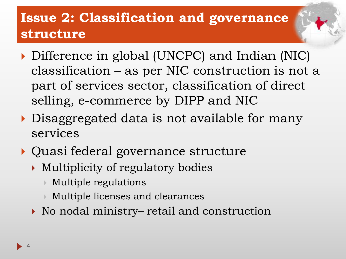#### **Issue 2: Classification and governance structure**

- Difference in global (UNCPC) and Indian (NIC) classification – as per NIC construction is not a part of services sector, classification of direct selling, e-commerce by DIPP and NIC
- Disaggregated data is not available for many services
- Quasi federal governance structure
	- Multiplicity of regulatory bodies
		- Multiple regulations
		- Multiple licenses and clearances
	- $\blacktriangleright$  No nodal ministry– retail and construction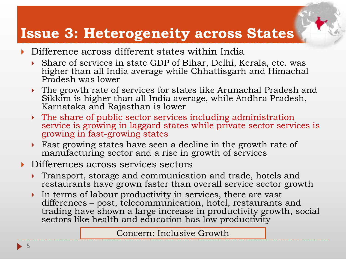#### **Issue 3: Heterogeneity across States**

- Difference across different states within India
	- Share of services in state GDP of Bihar, Delhi, Kerala, etc. was higher than all India average while Chhattisgarh and Himachal Pradesh was lower
	- The growth rate of services for states like Arunachal Pradesh and Sikkim is higher than all India average, while Andhra Pradesh, Karnataka and Rajasthan is lower
	- The share of public sector services including administration service is growing in laggard states while private sector services is growing in fast-growing states
	- Fast growing states have seen a decline in the growth rate of manufacturing sector and a rise in growth of services

#### Differences across services sectors

- Transport, storage and communication and trade, hotels and restaurants have grown faster than overall service sector growth
- In terms of labour productivity in services, there are vast differences – post, telecommunication, hotel, restaurants and trading have shown a large increase in productivity growth, social sectors like health and education has low productivity

Concern: Inclusive Growth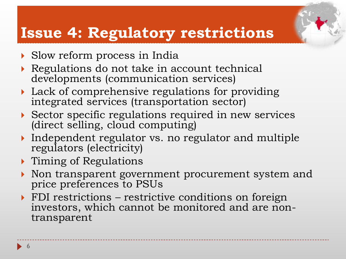#### **Issue 4: Regulatory restrictions**

- Slow reform process in India
- Regulations do not take in account technical developments (communication services)
- **Lack of comprehensive regulations for providing** integrated services (transportation sector)
- Sector specific regulations required in new services (direct selling, cloud computing)
- Independent regulator vs. no regulator and multiple regulators (electricity)
- Timing of Regulations
- Non transparent government procurement system and price preferences to PSUs
- FDI restrictions restrictive conditions on foreign investors, which cannot be monitored and are nontransparent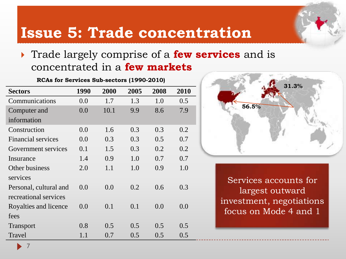#### **Issue 5: Trade concentration**

#### Trade largely comprise of a **few services** and is concentrated in a **few markets**

#### **RCAs for Services Sub-sectors (1990-2010)**

| <b>Sectors</b>         | 1990 | 2000 | 2005 | 2008 | 2010 |
|------------------------|------|------|------|------|------|
| Communications         | 0.0  | 1.7  | 1.3  | 1.0  | 0.5  |
| Computer and           | 0.0  | 10.1 | 9.9  | 8.6  | 7.9  |
| information            |      |      |      |      |      |
| Construction           | 0.0  | 1.6  | 0.3  | 0.3  | 0.2  |
| Financial services     | 0.0  | 0.3  | 0.3  | 0.5  | 0.7  |
| Government services    | 0.1  | 1.5  | 0.3  | 0.2  | 0.2  |
| Insurance              | 1.4  | 0.9  | 1.0  | 0.7  | 0.7  |
| Other business         | 2.0  | 1.1  | 1.0  | 0.9  | 1.0  |
| services               |      |      |      |      |      |
| Personal, cultural and | 0.0  | 0.0  | 0.2  | 0.6  | 0.3  |
| recreational services  |      |      |      |      |      |
| Royalties and licence  | 0.0  | 0.1  | 0.1  | 0.0  | 0.0  |
| fees                   |      |      |      |      |      |
| <b>Transport</b>       | 0.8  | 0.5  | 0.5  | 0.5  | 0.5  |
| Travel                 | 1.1  | 0.7  | 0.5  | 0.5  | 0.5  |



Services accounts for largest outward investment, negotiations focus on Mode 4 and 1

7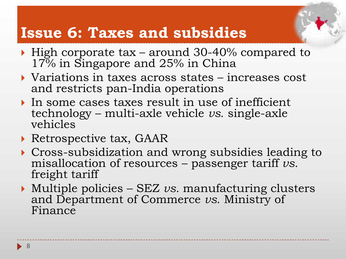#### **Issue 6: Taxes and subsidies**

- High corporate tax around 30-40% compared to 17% in Singapore and 25% in China
- Variations in taxes across states increases cost and restricts pan-India operations
- In some cases taxes result in use of inefficient technology – multi-axle vehicle *vs.* single-axle vehicles
- Retrospective tax, GAAR
- Cross-subsidization and wrong subsidies leading to misallocation of resources – passenger tariff *vs.* freight tariff
- Multiple policies SEZ *vs.* manufacturing clusters and Department of Commerce *vs.* Ministry of Finance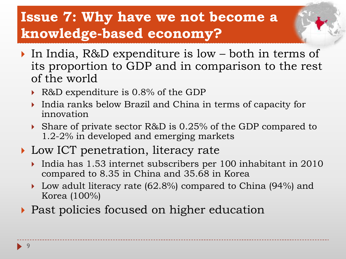#### **Issue 7: Why have we not become a knowledge-based economy?**

- ▶ In India, R&D expenditure is low both in terms of its proportion to GDP and in comparison to the rest of the world
	- R&D expenditure is 0.8% of the GDP
	- India ranks below Brazil and China in terms of capacity for innovation
	- Share of private sector R&D is 0.25% of the GDP compared to 1.2-2% in developed and emerging markets
- ▶ Low ICT penetration, literacy rate
	- India has 1.53 internet subscribers per 100 inhabitant in 2010 compared to 8.35 in China and 35.68 in Korea
	- ▶ Low adult literacy rate (62.8%) compared to China (94%) and Korea (100%)
- ▶ Past policies focused on higher education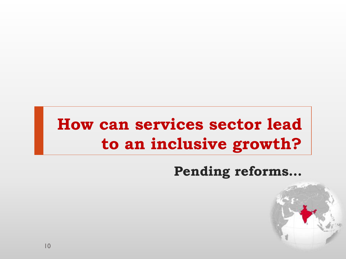# **How can services sector lead to an inclusive growth?**

**Pending reforms…**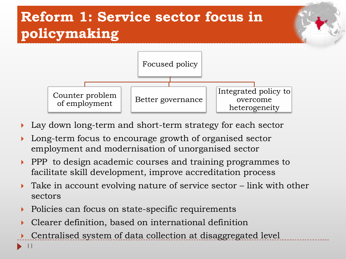#### **Reform 1: Service sector focus in policymaking**



- Lay down long-term and short-term strategy for each sector
- Long-term focus to encourage growth of organised sector employment and modernisation of unorganised sector
- **PPP** to design academic courses and training programmes to facilitate skill development, improve accreditation process
- $\triangleright$  Take in account evolving nature of service sector link with other sectors
- Policies can focus on state-specific requirements
- Clearer definition, based on international definition
- 11 Centralised system of data collection at disaggregated level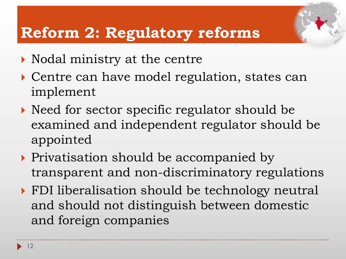## **Reform 2: Regulatory reforms**

- Nodal ministry at the centre
- Centre can have model regulation, states can implement
- ▶ Need for sector specific regulator should be examined and independent regulator should be appointed
- ▶ Privatisation should be accompanied by transparent and non-discriminatory regulations
- FDI liberalisation should be technology neutral and should not distinguish between domestic and foreign companies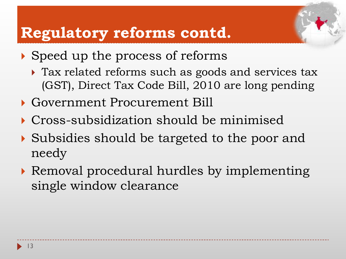#### **Regulatory reforms contd.**

- ▶ Speed up the process of reforms
	- Tax related reforms such as goods and services tax (GST), Direct Tax Code Bill, 2010 are long pending
- Government Procurement Bill
- Cross-subsidization should be minimised
- Subsidies should be targeted to the poor and needy
- Removal procedural hurdles by implementing single window clearance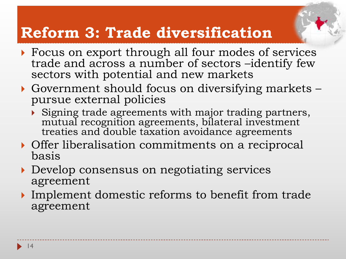## **Reform 3: Trade diversification**

- Focus on export through all four modes of services trade and across a number of sectors –identify few sectors with potential and new markets
- Government should focus on diversifying markets pursue external policies
	- Signing trade agreements with major trading partners, mutual recognition agreements, bilateral investment treaties and double taxation avoidance agreements
- Offer liberalisation commitments on a reciprocal basis
- Develop consensus on negotiating services agreement
- Implement domestic reforms to benefit from trade agreement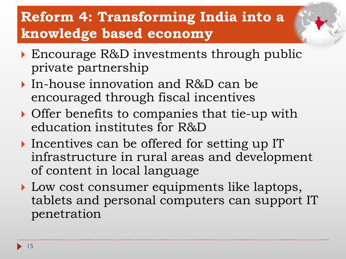#### **Reform 4: Transforming India into a knowledge based economy**

- ▶ Encourage R&D investments through public private partnership
- In-house innovation and R&D can be encouraged through fiscal incentives
- Offer benefits to companies that tie-up with education institutes for R&D
- Incentives can be offered for setting up IT infrastructure in rural areas and development of content in local language
- Low cost consumer equipments like laptops, tablets and personal computers can support IT penetration